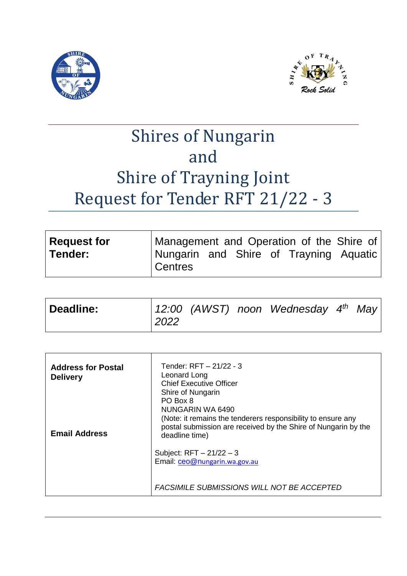



# Shires of Nungarin and Shire of Trayning Joint Request for Tender RFT 21/22 - 3

| Request for | Management and Operation of the Shire of            |  |  |  |
|-------------|-----------------------------------------------------|--|--|--|
| ∣Tender:    | Nungarin and Shire of Trayning Aquatic<br>l Centres |  |  |  |

| Deadline: | 2022 |  |  | 12:00 (AWST) noon Wednesday $4^{th}$ May |  |  |
|-----------|------|--|--|------------------------------------------|--|--|
|-----------|------|--|--|------------------------------------------|--|--|

| <b>Chief Executive Officer</b><br>Shire of Nungarin<br>PO Box 8<br>NUNGARIN WA 6490<br>(Note: it remains the tenderers responsibility to ensure any<br>postal submission are received by the Shire of Nungarin by the<br>deadline time) |
|-----------------------------------------------------------------------------------------------------------------------------------------------------------------------------------------------------------------------------------------|
| Subject: $RFT - 21/22 - 3$<br>Email: ceo@nungarin.wa.gov.au<br>FACSIMILE SUBMISSIONS WILL NOT BE ACCEPTED                                                                                                                               |
|                                                                                                                                                                                                                                         |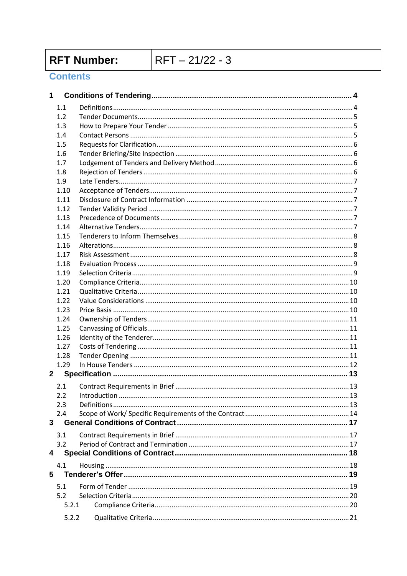**RFT Number:** 

 $RFT - 21/22 - 3$ 

# **Contents**

| 1           |              |               |      |
|-------------|--------------|---------------|------|
|             | 1.1          |               |      |
|             | 1.2          |               |      |
|             | 1.3          |               |      |
|             | 1.4          |               |      |
|             | 1.5          |               |      |
|             | 1.6          |               |      |
|             | 1.7          |               |      |
|             | 1.8          |               |      |
|             | 1.9          |               |      |
|             | 1.10         |               |      |
|             | 1.11         |               |      |
|             | 1.12         |               |      |
|             | 1.13         |               |      |
|             | 1.14         |               |      |
|             | 1.15         |               |      |
|             | 1.16         |               |      |
|             | 1.17         |               |      |
|             | 1.18         |               |      |
|             | 1.19         |               |      |
|             | 1.20         |               |      |
|             | 1.21         |               |      |
|             | 1.22         |               |      |
|             | 1.23<br>1.24 |               |      |
|             | 1.25         |               |      |
|             | 1.26         |               |      |
|             | 1.27         |               |      |
|             | 1.28         |               |      |
|             | 1.29         |               |      |
| $2^{\circ}$ |              |               |      |
|             |              |               |      |
|             | 2.1          |               |      |
|             | 2.2          | Introduction. | . 13 |
|             | 2.3          |               |      |
| 3           | 2.4          |               |      |
|             |              |               |      |
|             | 3.1          |               |      |
|             | 3.2          |               |      |
| 4           |              |               |      |
|             | 4.1          |               |      |
| 5           |              |               |      |
|             | 5.1          |               |      |
|             | 5.2          |               |      |
|             | 5.2.1        |               |      |
|             | 5.2.2        |               |      |
|             |              |               |      |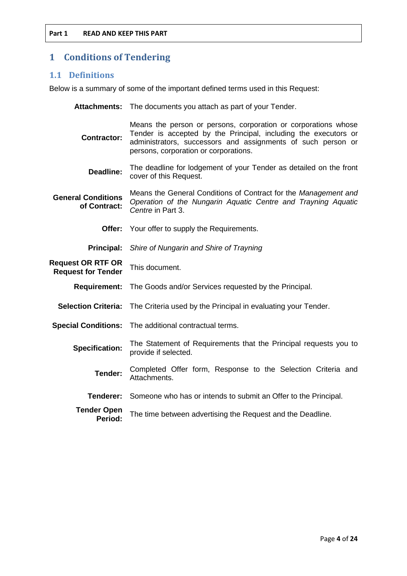# <span id="page-3-0"></span>**1 Conditions of Tendering**

# <span id="page-3-1"></span>**1.1 Definitions**

Below is a summary of some of the important defined terms used in this Request:

|                                                       | Attachments: The documents you attach as part of your Tender.                                                                                                                                                                              |
|-------------------------------------------------------|--------------------------------------------------------------------------------------------------------------------------------------------------------------------------------------------------------------------------------------------|
| <b>Contractor:</b>                                    | Means the person or persons, corporation or corporations whose<br>Tender is accepted by the Principal, including the executors or<br>administrators, successors and assignments of such person or<br>persons, corporation or corporations. |
| Deadline:                                             | The deadline for lodgement of your Tender as detailed on the front<br>cover of this Request.                                                                                                                                               |
| <b>General Conditions</b><br>of Contract:             | Means the General Conditions of Contract for the Management and<br>Operation of the Nungarin Aquatic Centre and Trayning Aquatic<br>Centre in Part 3.                                                                                      |
| Offer:                                                | Your offer to supply the Requirements.                                                                                                                                                                                                     |
| <b>Principal:</b>                                     | Shire of Nungarin and Shire of Trayning                                                                                                                                                                                                    |
| <b>Request OR RTF OR</b><br><b>Request for Tender</b> | This document.                                                                                                                                                                                                                             |
| <b>Requirement:</b>                                   | The Goods and/or Services requested by the Principal.                                                                                                                                                                                      |
| <b>Selection Criteria:</b>                            | The Criteria used by the Principal in evaluating your Tender.                                                                                                                                                                              |
| <b>Special Conditions:</b>                            | The additional contractual terms.                                                                                                                                                                                                          |
| <b>Specification:</b>                                 | The Statement of Requirements that the Principal requests you to<br>provide if selected.                                                                                                                                                   |
| Tender:                                               | Completed Offer form, Response to the Selection Criteria and<br>Attachments.                                                                                                                                                               |
| Tenderer:                                             | Someone who has or intends to submit an Offer to the Principal.                                                                                                                                                                            |
| <b>Tender Open</b><br>Period:                         | The time between advertising the Request and the Deadline.                                                                                                                                                                                 |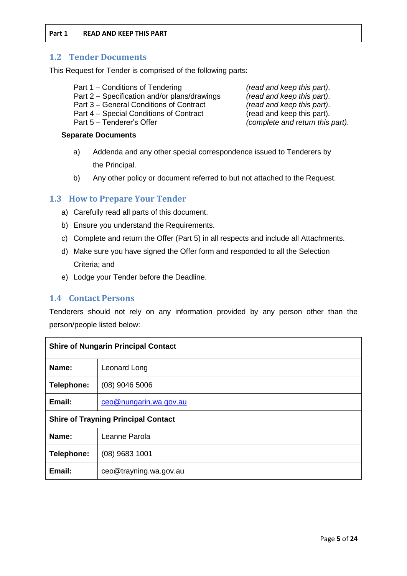### <span id="page-4-0"></span>**1.2 Tender Documents**

This Request for Tender is comprised of the following parts:

- Part 1 Conditions of Tendering *(read and keep this part)*.
- Part 2 Specification and/or plans/drawings *(read and keep this part)*.
- Part 3 General Conditions of Contract *(read and keep this part)*.
- Part 4 Special Conditions of Contract (read and keep this part).
- 

#### **Separate Documents**

- a) Addenda and any other special correspondence issued to Tenderers by the Principal.
- b) Any other policy or document referred to but not attached to the Request.

# <span id="page-4-1"></span>**1.3 How to Prepare Your Tender**

- a) Carefully read all parts of this document.
- b) Ensure you understand the Requirements.
- c) Complete and return the Offer (Part 5) in all respects and include all Attachments.
- d) Make sure you have signed the Offer form and responded to all the Selection Criteria; and
- e) Lodge your Tender before the Deadline.

# <span id="page-4-2"></span>**1.4 Contact Persons**

Tenderers should not rely on any information provided by any person other than the person/people listed below:

| <b>Shire of Nungarin Principal Contact</b> |                        |  |  |
|--------------------------------------------|------------------------|--|--|
| Name:                                      | Leonard Long           |  |  |
| Telephone:                                 | $(08)$ 9046 5006       |  |  |
| Email:                                     | ceo@nungarin.wa.gov.au |  |  |
| <b>Shire of Trayning Principal Contact</b> |                        |  |  |
| Name:                                      | Leanne Parola          |  |  |
| Telephone:                                 | $(08)$ 9683 1001       |  |  |
| Email:                                     | ceo@trayning.wa.gov.au |  |  |

Part 5 – Tenderer's Offer *(complete and return this part)*.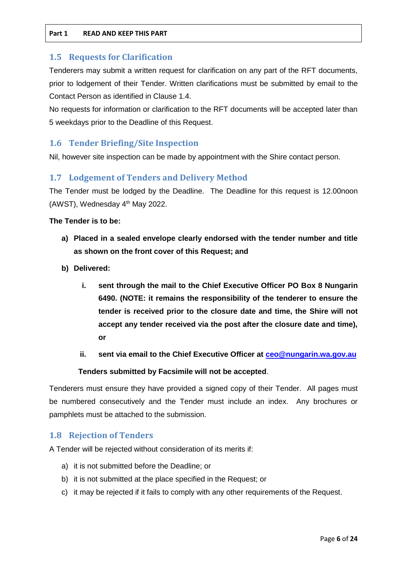#### <span id="page-5-0"></span>**1.5 Requests for Clarification**

Tenderers may submit a written request for clarification on any part of the RFT documents, prior to lodgement of their Tender. Written clarifications must be submitted by email to the Contact Person as identified in Clause 1.4.

No requests for information or clarification to the RFT documents will be accepted later than 5 weekdays prior to the Deadline of this Request.

# <span id="page-5-1"></span>**1.6 Tender Briefing/Site Inspection**

Nil, however site inspection can be made by appointment with the Shire contact person.

# <span id="page-5-2"></span>**1.7 Lodgement of Tenders and Delivery Method**

The Tender must be lodged by the Deadline. The Deadline for this request is 12.00noon (AWST), Wednesday  $4<sup>th</sup>$  May 2022.

#### **The Tender is to be:**

- **a) Placed in a sealed envelope clearly endorsed with the tender number and title as shown on the front cover of this Request; and**
- **b) Delivered:**
	- **i. sent through the mail to the Chief Executive Officer PO Box 8 Nungarin 6490. (NOTE: it remains the responsibility of the tenderer to ensure the tender is received prior to the closure date and time, the Shire will not accept any tender received via the post after the closure date and time), or**
	- **ii. sent via email to the Chief Executive Officer at [ceo@nungarin.wa.gov.au](mailto:ceo@nungarin.wa.gov.au)**

#### **Tenders submitted by Facsimile will not be accepted**.

Tenderers must ensure they have provided a signed copy of their Tender. All pages must be numbered consecutively and the Tender must include an index. Any brochures or pamphlets must be attached to the submission.

# <span id="page-5-3"></span>**1.8 Rejection of Tenders**

A Tender will be rejected without consideration of its merits if:

- a) it is not submitted before the Deadline; or
- b) it is not submitted at the place specified in the Request; or
- c) it may be rejected if it fails to comply with any other requirements of the Request.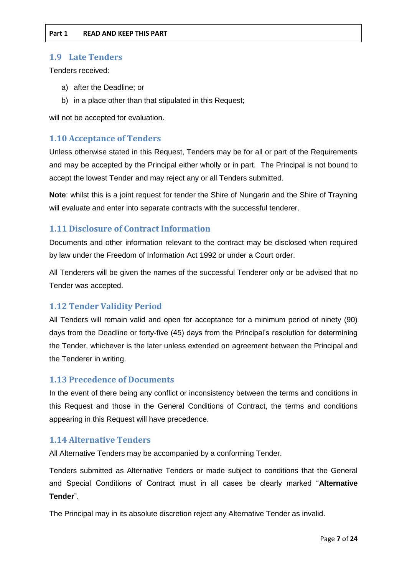## <span id="page-6-0"></span>**1.9 Late Tenders**

Tenders received:

- a) after the Deadline; or
- b) in a place other than that stipulated in this Request;

will not be accepted for evaluation.

# <span id="page-6-1"></span>**1.10 Acceptance of Tenders**

Unless otherwise stated in this Request, Tenders may be for all or part of the Requirements and may be accepted by the Principal either wholly or in part. The Principal is not bound to accept the lowest Tender and may reject any or all Tenders submitted.

**Note**: whilst this is a joint request for tender the Shire of Nungarin and the Shire of Trayning will evaluate and enter into separate contracts with the successful tenderer.

# <span id="page-6-2"></span>**1.11 Disclosure of Contract Information**

Documents and other information relevant to the contract may be disclosed when required by law under the Freedom of Information Act 1992 or under a Court order.

All Tenderers will be given the names of the successful Tenderer only or be advised that no Tender was accepted.

# <span id="page-6-3"></span>**1.12 Tender Validity Period**

All Tenders will remain valid and open for acceptance for a minimum period of ninety (90) days from the Deadline or forty-five (45) days from the Principal's resolution for determining the Tender, whichever is the later unless extended on agreement between the Principal and the Tenderer in writing.

#### <span id="page-6-4"></span>**1.13 Precedence of Documents**

In the event of there being any conflict or inconsistency between the terms and conditions in this Request and those in the General Conditions of Contract, the terms and conditions appearing in this Request will have precedence.

# <span id="page-6-5"></span>**1.14 Alternative Tenders**

All Alternative Tenders may be accompanied by a conforming Tender.

Tenders submitted as Alternative Tenders or made subject to conditions that the General and Special Conditions of Contract must in all cases be clearly marked "**Alternative Tender**".

The Principal may in its absolute discretion reject any Alternative Tender as invalid.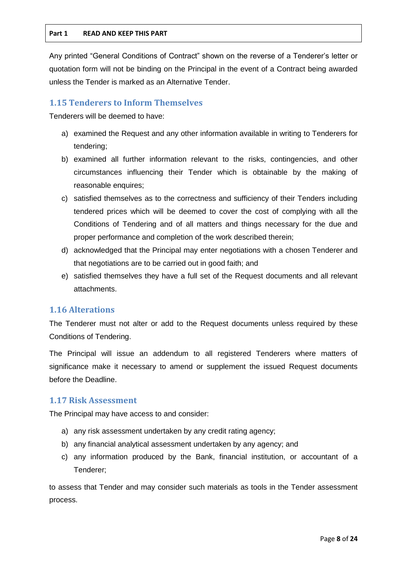Any printed "General Conditions of Contract" shown on the reverse of a Tenderer's letter or quotation form will not be binding on the Principal in the event of a Contract being awarded unless the Tender is marked as an Alternative Tender.

# <span id="page-7-0"></span>**1.15 Tenderers to Inform Themselves**

Tenderers will be deemed to have:

- a) examined the Request and any other information available in writing to Tenderers for tendering;
- b) examined all further information relevant to the risks, contingencies, and other circumstances influencing their Tender which is obtainable by the making of reasonable enquires;
- c) satisfied themselves as to the correctness and sufficiency of their Tenders including tendered prices which will be deemed to cover the cost of complying with all the Conditions of Tendering and of all matters and things necessary for the due and proper performance and completion of the work described therein;
- d) acknowledged that the Principal may enter negotiations with a chosen Tenderer and that negotiations are to be carried out in good faith; and
- e) satisfied themselves they have a full set of the Request documents and all relevant attachments.

# <span id="page-7-1"></span>**1.16 Alterations**

The Tenderer must not alter or add to the Request documents unless required by these Conditions of Tendering.

The Principal will issue an addendum to all registered Tenderers where matters of significance make it necessary to amend or supplement the issued Request documents before the Deadline.

# <span id="page-7-2"></span>**1.17 Risk Assessment**

The Principal may have access to and consider:

- a) any risk assessment undertaken by any credit rating agency;
- b) any financial analytical assessment undertaken by any agency; and
- c) any information produced by the Bank, financial institution, or accountant of a Tenderer;

to assess that Tender and may consider such materials as tools in the Tender assessment process.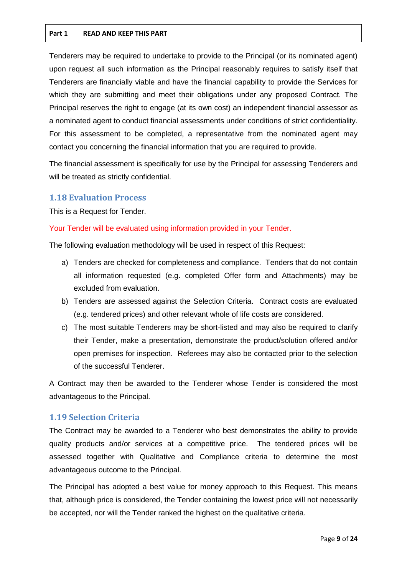Tenderers may be required to undertake to provide to the Principal (or its nominated agent) upon request all such information as the Principal reasonably requires to satisfy itself that Tenderers are financially viable and have the financial capability to provide the Services for which they are submitting and meet their obligations under any proposed Contract. The Principal reserves the right to engage (at its own cost) an independent financial assessor as a nominated agent to conduct financial assessments under conditions of strict confidentiality. For this assessment to be completed, a representative from the nominated agent may contact you concerning the financial information that you are required to provide.

The financial assessment is specifically for use by the Principal for assessing Tenderers and will be treated as strictly confidential.

# <span id="page-8-0"></span>**1.18 Evaluation Process**

This is a Request for Tender.

#### Your Tender will be evaluated using information provided in your Tender.

The following evaluation methodology will be used in respect of this Request:

- a) Tenders are checked for completeness and compliance. Tenders that do not contain all information requested (e.g. completed Offer form and Attachments) may be excluded from evaluation.
- b) Tenders are assessed against the Selection Criteria. Contract costs are evaluated (e.g. tendered prices) and other relevant whole of life costs are considered.
- c) The most suitable Tenderers may be short-listed and may also be required to clarify their Tender, make a presentation, demonstrate the product/solution offered and/or open premises for inspection. Referees may also be contacted prior to the selection of the successful Tenderer.

A Contract may then be awarded to the Tenderer whose Tender is considered the most advantageous to the Principal.

# <span id="page-8-1"></span>**1.19 Selection Criteria**

The Contract may be awarded to a Tenderer who best demonstrates the ability to provide quality products and/or services at a competitive price. The tendered prices will be assessed together with Qualitative and Compliance criteria to determine the most advantageous outcome to the Principal.

The Principal has adopted a best value for money approach to this Request. This means that, although price is considered, the Tender containing the lowest price will not necessarily be accepted, nor will the Tender ranked the highest on the qualitative criteria.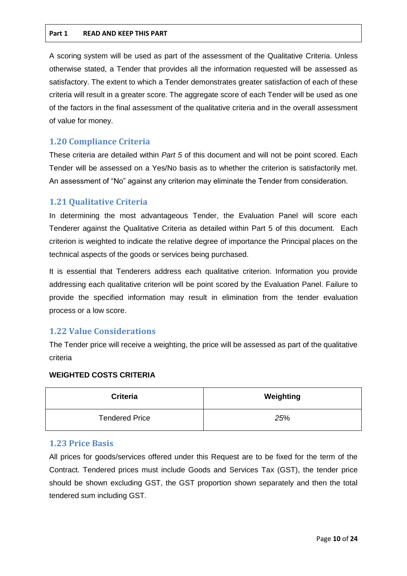A scoring system will be used as part of the assessment of the Qualitative Criteria. Unless otherwise stated, a Tender that provides all the information requested will be assessed as satisfactory. The extent to which a Tender demonstrates greater satisfaction of each of these criteria will result in a greater score. The aggregate score of each Tender will be used as one of the factors in the final assessment of the qualitative criteria and in the overall assessment of value for money.

# <span id="page-9-0"></span>**1.20 Compliance Criteria**

These criteria are detailed within *Part 5* of this document and will not be point scored. Each Tender will be assessed on a Yes/No basis as to whether the criterion is satisfactorily met. An assessment of "No" against any criterion may eliminate the Tender from consideration.

# <span id="page-9-1"></span>**1.21 Qualitative Criteria**

In determining the most advantageous Tender, the Evaluation Panel will score each Tenderer against the Qualitative Criteria as detailed within Part 5 of this document. Each criterion is weighted to indicate the relative degree of importance the Principal places on the technical aspects of the goods or services being purchased.

It is essential that Tenderers address each qualitative criterion. Information you provide addressing each qualitative criterion will be point scored by the Evaluation Panel. Failure to provide the specified information may result in elimination from the tender evaluation process or a low score.

# <span id="page-9-2"></span>**1.22 Value Considerations**

The Tender price will receive a weighting, the price will be assessed as part of the qualitative criteria

#### **WEIGHTED COSTS CRITERIA**

| <b>Criteria</b>       | Weighting |
|-----------------------|-----------|
| <b>Tendered Price</b> | 25%       |

# <span id="page-9-3"></span>**1.23 Price Basis**

All prices for goods/services offered under this Request are to be fixed for the term of the Contract. Tendered prices must include Goods and Services Tax (GST), the tender price should be shown excluding GST, the GST proportion shown separately and then the total tendered sum including GST.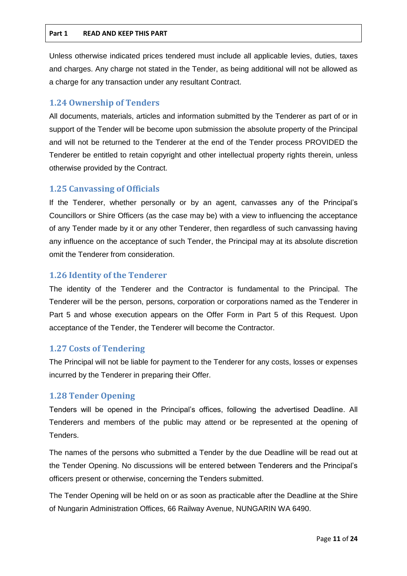Unless otherwise indicated prices tendered must include all applicable levies, duties, taxes and charges. Any charge not stated in the Tender, as being additional will not be allowed as a charge for any transaction under any resultant Contract.

# <span id="page-10-0"></span>**1.24 Ownership of Tenders**

All documents, materials, articles and information submitted by the Tenderer as part of or in support of the Tender will be become upon submission the absolute property of the Principal and will not be returned to the Tenderer at the end of the Tender process PROVIDED the Tenderer be entitled to retain copyright and other intellectual property rights therein, unless otherwise provided by the Contract.

# <span id="page-10-1"></span>**1.25 Canvassing of Officials**

If the Tenderer, whether personally or by an agent, canvasses any of the Principal's Councillors or Shire Officers (as the case may be) with a view to influencing the acceptance of any Tender made by it or any other Tenderer, then regardless of such canvassing having any influence on the acceptance of such Tender, the Principal may at its absolute discretion omit the Tenderer from consideration.

# <span id="page-10-2"></span>**1.26 Identity of the Tenderer**

The identity of the Tenderer and the Contractor is fundamental to the Principal. The Tenderer will be the person, persons, corporation or corporations named as the Tenderer in Part 5 and whose execution appears on the Offer Form in Part 5 of this Request. Upon acceptance of the Tender, the Tenderer will become the Contractor.

# <span id="page-10-3"></span>**1.27 Costs of Tendering**

The Principal will not be liable for payment to the Tenderer for any costs, losses or expenses incurred by the Tenderer in preparing their Offer.

# <span id="page-10-4"></span>**1.28 Tender Opening**

Tenders will be opened in the Principal's offices, following the advertised Deadline. All Tenderers and members of the public may attend or be represented at the opening of Tenders.

The names of the persons who submitted a Tender by the due Deadline will be read out at the Tender Opening. No discussions will be entered between Tenderers and the Principal's officers present or otherwise, concerning the Tenders submitted.

The Tender Opening will be held on or as soon as practicable after the Deadline at the Shire of Nungarin Administration Offices, 66 Railway Avenue, NUNGARIN WA 6490.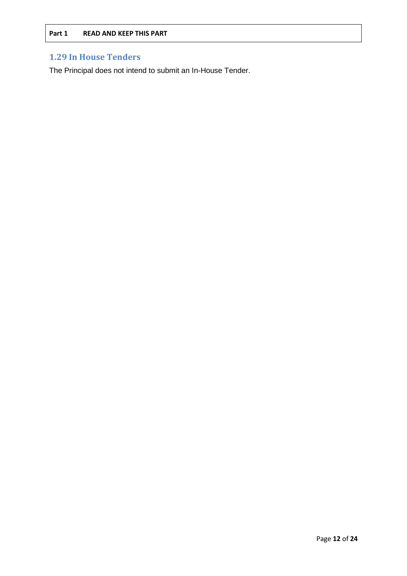# <span id="page-11-0"></span>**1.29 In House Tenders**

The Principal does not intend to submit an In-House Tender.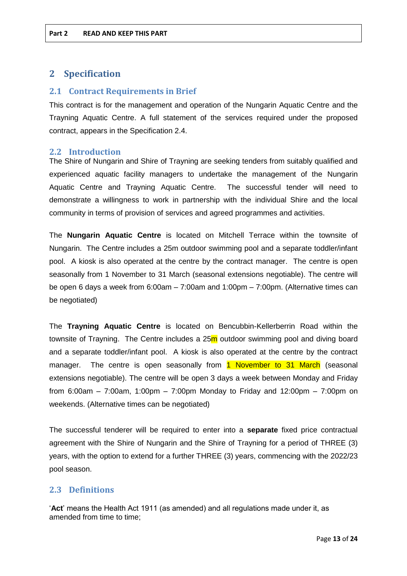# <span id="page-12-0"></span>**2 Specification**

# <span id="page-12-1"></span>**2.1 Contract Requirements in Brief**

This contract is for the management and operation of the Nungarin Aquatic Centre and the Trayning Aquatic Centre. A full statement of the services required under the proposed contract, appears in the Specification 2.4.

#### <span id="page-12-2"></span>**2.2 Introduction**

The Shire of Nungarin and Shire of Trayning are seeking tenders from suitably qualified and experienced aquatic facility managers to undertake the management of the Nungarin Aquatic Centre and Trayning Aquatic Centre. The successful tender will need to demonstrate a willingness to work in partnership with the individual Shire and the local community in terms of provision of services and agreed programmes and activities.

The **Nungarin Aquatic Centre** is located on Mitchell Terrace within the townsite of Nungarin. The Centre includes a 25m outdoor swimming pool and a separate toddler/infant pool. A kiosk is also operated at the centre by the contract manager. The centre is open seasonally from 1 November to 31 March (seasonal extensions negotiable). The centre will be open 6 days a week from 6:00am – 7:00am and 1:00pm – 7:00pm. (Alternative times can be negotiated)

The **Trayning Aquatic Centre** is located on Bencubbin-Kellerberrin Road within the townsite of Trayning. The Centre includes a 25m outdoor swimming pool and diving board and a separate toddler/infant pool. A kiosk is also operated at the centre by the contract manager. The centre is open seasonally from 1 November to 31 March (seasonal extensions negotiable). The centre will be open 3 days a week between Monday and Friday from 6:00am – 7:00am, 1:00pm – 7:00pm Monday to Friday and 12:00pm – 7:00pm on weekends. (Alternative times can be negotiated)

The successful tenderer will be required to enter into a **separate** fixed price contractual agreement with the Shire of Nungarin and the Shire of Trayning for a period of THREE (3) years, with the option to extend for a further THREE (3) years, commencing with the 2022/23 pool season.

# <span id="page-12-3"></span>**2.3 Definitions**

'**Act**' means the Health Act 1911 (as amended) and all regulations made under it, as amended from time to time;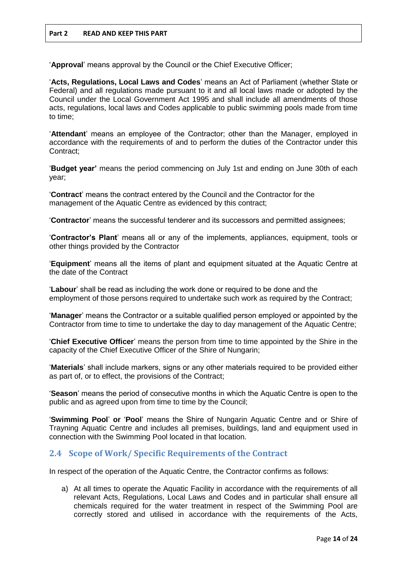'**Approval**' means approval by the Council or the Chief Executive Officer;

'**Acts, Regulations, Local Laws and Codes**' means an Act of Parliament (whether State or Federal) and all regulations made pursuant to it and all local laws made or adopted by the Council under the Local Government Act 1995 and shall include all amendments of those acts, regulations, local laws and Codes applicable to public swimming pools made from time to time;

'**Attendant**' means an employee of the Contractor; other than the Manager, employed in accordance with the requirements of and to perform the duties of the Contractor under this Contract;

'**Budget year'** means the period commencing on July 1st and ending on June 30th of each year;

'**Contract**' means the contract entered by the Council and the Contractor for the management of the Aquatic Centre as evidenced by this contract;

'**Contractor**' means the successful tenderer and its successors and permitted assignees;

'**Contractor's Plant**' means all or any of the implements, appliances, equipment, tools or other things provided by the Contractor

'**Equipment**' means all the items of plant and equipment situated at the Aquatic Centre at the date of the Contract

'**Labour**' shall be read as including the work done or required to be done and the employment of those persons required to undertake such work as required by the Contract;

'**Manager**' means the Contractor or a suitable qualified person employed or appointed by the Contractor from time to time to undertake the day to day management of the Aquatic Centre;

'**Chief Executive Officer**' means the person from time to time appointed by the Shire in the capacity of the Chief Executive Officer of the Shire of Nungarin;

'**Materials**' shall include markers, signs or any other materials required to be provided either as part of, or to effect, the provisions of the Contract;

'**Season**' means the period of consecutive months in which the Aquatic Centre is open to the public and as agreed upon from time to time by the Council;

'**Swimming Pool**' **or** '**Pool**' means the Shire of Nungarin Aquatic Centre and or Shire of Trayning Aquatic Centre and includes all premises, buildings, land and equipment used in connection with the Swimming Pool located in that location.

# <span id="page-13-0"></span>**2.4 Scope of Work/ Specific Requirements of the Contract**

In respect of the operation of the Aquatic Centre, the Contractor confirms as follows:

a) At all times to operate the Aquatic Facility in accordance with the requirements of all relevant Acts, Regulations, Local Laws and Codes and in particular shall ensure all chemicals required for the water treatment in respect of the Swimming Pool are correctly stored and utilised in accordance with the requirements of the Acts,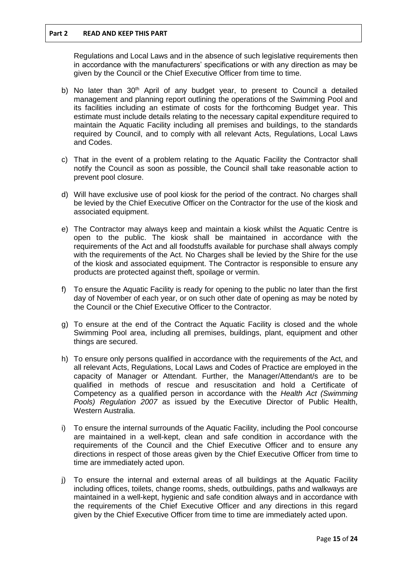Regulations and Local Laws and in the absence of such legislative requirements then in accordance with the manufacturers' specifications or with any direction as may be given by the Council or the Chief Executive Officer from time to time.

- b) No later than 30<sup>th</sup> April of any budget year, to present to Council a detailed management and planning report outlining the operations of the Swimming Pool and its facilities including an estimate of costs for the forthcoming Budget year. This estimate must include details relating to the necessary capital expenditure required to maintain the Aquatic Facility including all premises and buildings, to the standards required by Council, and to comply with all relevant Acts, Regulations, Local Laws and Codes.
- c) That in the event of a problem relating to the Aquatic Facility the Contractor shall notify the Council as soon as possible, the Council shall take reasonable action to prevent pool closure.
- d) Will have exclusive use of pool kiosk for the period of the contract. No charges shall be levied by the Chief Executive Officer on the Contractor for the use of the kiosk and associated equipment.
- e) The Contractor may always keep and maintain a kiosk whilst the Aquatic Centre is open to the public. The kiosk shall be maintained in accordance with the requirements of the Act and all foodstuffs available for purchase shall always comply with the requirements of the Act. No Charges shall be levied by the Shire for the use of the kiosk and associated equipment. The Contractor is responsible to ensure any products are protected against theft, spoilage or vermin.
- f) To ensure the Aquatic Facility is ready for opening to the public no later than the first day of November of each year, or on such other date of opening as may be noted by the Council or the Chief Executive Officer to the Contractor.
- g) To ensure at the end of the Contract the Aquatic Facility is closed and the whole Swimming Pool area, including all premises, buildings, plant, equipment and other things are secured.
- h) To ensure only persons qualified in accordance with the requirements of the Act, and all relevant Acts, Regulations, Local Laws and Codes of Practice are employed in the capacity of Manager or Attendant. Further, the Manager/Attendant/s are to be qualified in methods of rescue and resuscitation and hold a Certificate of Competency as a qualified person in accordance with the *Health Act (Swimming Pools) Regulation 2007* as issued by the Executive Director of Public Health, Western Australia.
- i) To ensure the internal surrounds of the Aquatic Facility, including the Pool concourse are maintained in a well-kept, clean and safe condition in accordance with the requirements of the Council and the Chief Executive Officer and to ensure any directions in respect of those areas given by the Chief Executive Officer from time to time are immediately acted upon.
- j) To ensure the internal and external areas of all buildings at the Aquatic Facility including offices, toilets, change rooms, sheds, outbuildings, paths and walkways are maintained in a well-kept, hygienic and safe condition always and in accordance with the requirements of the Chief Executive Officer and any directions in this regard given by the Chief Executive Officer from time to time are immediately acted upon.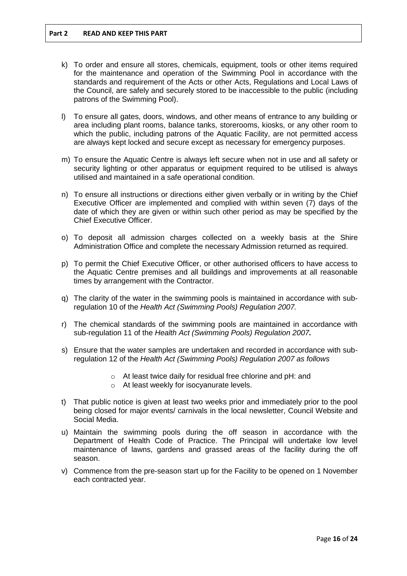- k) To order and ensure all stores, chemicals, equipment, tools or other items required for the maintenance and operation of the Swimming Pool in accordance with the standards and requirement of the Acts or other Acts, Regulations and Local Laws of the Council, are safely and securely stored to be inaccessible to the public (including patrons of the Swimming Pool).
- l) To ensure all gates, doors, windows, and other means of entrance to any building or area including plant rooms, balance tanks, storerooms, kiosks, or any other room to which the public, including patrons of the Aquatic Facility, are not permitted access are always kept locked and secure except as necessary for emergency purposes.
- m) To ensure the Aquatic Centre is always left secure when not in use and all safety or security lighting or other apparatus or equipment required to be utilised is always utilised and maintained in a safe operational condition.
- n) To ensure all instructions or directions either given verbally or in writing by the Chief Executive Officer are implemented and complied with within seven (7) days of the date of which they are given or within such other period as may be specified by the Chief Executive Officer.
- o) To deposit all admission charges collected on a weekly basis at the Shire Administration Office and complete the necessary Admission returned as required.
- p) To permit the Chief Executive Officer, or other authorised officers to have access to the Aquatic Centre premises and all buildings and improvements at all reasonable times by arrangement with the Contractor.
- q) The clarity of the water in the swimming pools is maintained in accordance with subregulation 10 of the *Health Act (Swimming Pools) Regulation 2007.*
- r) The chemical standards of the swimming pools are maintained in accordance with sub-regulation 11 of the *Health Act (Swimming Pools) Regulation 2007.*
- s) Ensure that the water samples are undertaken and recorded in accordance with subregulation 12 of the *Health Act (Swimming Pools) Regulation 2007 as follows*
	- o At least twice daily for residual free chlorine and pH: and
	- o At least weekly for isocyanurate levels.
- t) That public notice is given at least two weeks prior and immediately prior to the pool being closed for major events/ carnivals in the local newsletter, Council Website and Social Media.
- u) Maintain the swimming pools during the off season in accordance with the Department of Health Code of Practice. The Principal will undertake low level maintenance of lawns, gardens and grassed areas of the facility during the off season.
- v) Commence from the pre-season start up for the Facility to be opened on 1 November each contracted year.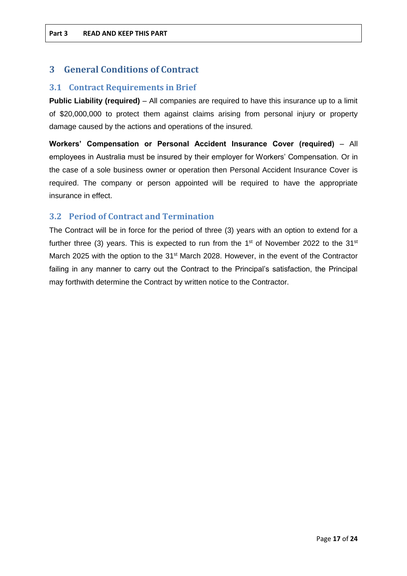# <span id="page-16-0"></span>**3 General Conditions of Contract**

# <span id="page-16-1"></span>**3.1 Contract Requirements in Brief**

**Public Liability (required)** – All companies are required to have this insurance up to a limit of \$20,000,000 to protect them against claims arising from personal injury or property damage caused by the actions and operations of the insured.

**Workers' Compensation or Personal Accident Insurance Cover (required)** – All employees in Australia must be insured by their employer for Workers' Compensation. Or in the case of a sole business owner or operation then Personal Accident Insurance Cover is required. The company or person appointed will be required to have the appropriate insurance in effect.

# <span id="page-16-2"></span>**3.2 Period of Contract and Termination**

The Contract will be in force for the period of three (3) years with an option to extend for a further three (3) years. This is expected to run from the  $1<sup>st</sup>$  of November 2022 to the 31 $<sup>st</sup>$ </sup> March 2025 with the option to the 31<sup>st</sup> March 2028. However, in the event of the Contractor failing in any manner to carry out the Contract to the Principal's satisfaction, the Principal may forthwith determine the Contract by written notice to the Contractor.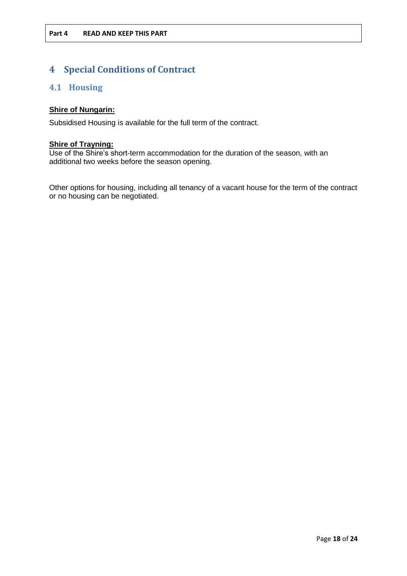# <span id="page-17-0"></span>**4 Special Conditions of Contract**

# <span id="page-17-1"></span>**4.1 Housing**

# **Shire of Nungarin:**

Subsidised Housing is available for the full term of the contract.

### **Shire of Trayning:**

Use of the Shire's short-term accommodation for the duration of the season, with an additional two weeks before the season opening.

Other options for housing, including all tenancy of a vacant house for the term of the contract or no housing can be negotiated.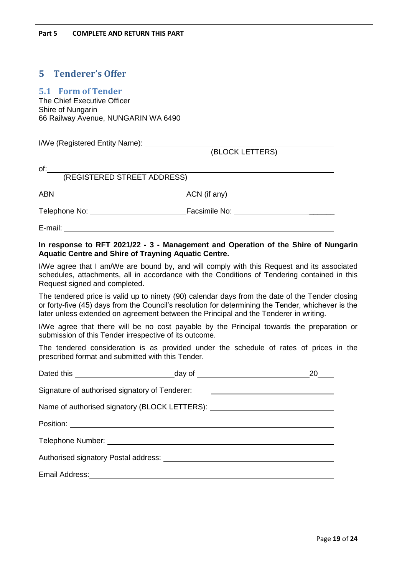# <span id="page-18-0"></span>**5 Tenderer's Offer**

# <span id="page-18-1"></span>**5.1 Form of Tender**

The Chief Executive Officer Shire of Nungarin 66 Railway Avenue, NUNGARIN WA 6490

I/We (Registered Entity Name):

(BLOCK LETTERS)

| of:                         |               |
|-----------------------------|---------------|
| (REGISTERED STREET ADDRESS) |               |
| ABN                         | ACN (if any)  |
| Telephone No:               | Facsimile No: |

E-mail:

## **In response to RFT 2021/22 - 3 - Management and Operation of the Shire of Nungarin Aquatic Centre and Shire of Trayning Aquatic Centre.**

I/We agree that I am/We are bound by, and will comply with this Request and its associated schedules, attachments, all in accordance with the Conditions of Tendering contained in this Request signed and completed.

The tendered price is valid up to ninety (90) calendar days from the date of the Tender closing or forty-five (45) days from the Council's resolution for determining the Tender, whichever is the later unless extended on agreement between the Principal and the Tenderer in writing.

I/We agree that there will be no cost payable by the Principal towards the preparation or submission of this Tender irrespective of its outcome.

The tendered consideration is as provided under the schedule of rates of prices in the prescribed format and submitted with this Tender.

|                                                |                                                                                  | 20 |
|------------------------------------------------|----------------------------------------------------------------------------------|----|
| Signature of authorised signatory of Tenderer: |                                                                                  |    |
|                                                | Name of authorised signatory (BLOCK LETTERS): __________________________________ |    |
|                                                |                                                                                  |    |
|                                                |                                                                                  |    |
|                                                |                                                                                  |    |
|                                                |                                                                                  |    |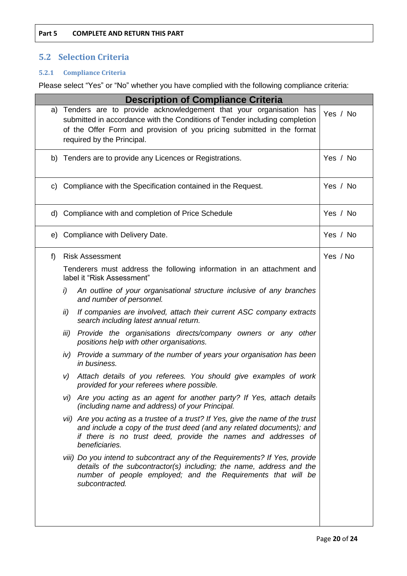# <span id="page-19-0"></span>**5.2 Selection Criteria**

# <span id="page-19-1"></span>**5.2.1 Compliance Criteria**

Please select "Yes" or "No" whether you have complied with the following compliance criteria:

|    |      | <b>Description of Compliance Criteria</b>                                                                                                                                                                                                                  |          |
|----|------|------------------------------------------------------------------------------------------------------------------------------------------------------------------------------------------------------------------------------------------------------------|----------|
|    |      | a) Tenders are to provide acknowledgement that your organisation has<br>submitted in accordance with the Conditions of Tender including completion<br>of the Offer Form and provision of you pricing submitted in the format<br>required by the Principal. | Yes / No |
|    |      | b) Tenders are to provide any Licences or Registrations.                                                                                                                                                                                                   | Yes / No |
| C) |      | Compliance with the Specification contained in the Request.                                                                                                                                                                                                | Yes / No |
|    |      | d) Compliance with and completion of Price Schedule                                                                                                                                                                                                        | Yes / No |
| e) |      | Compliance with Delivery Date.                                                                                                                                                                                                                             | Yes / No |
| f  |      | <b>Risk Assessment</b>                                                                                                                                                                                                                                     | Yes / No |
|    |      | Tenderers must address the following information in an attachment and<br>label it "Risk Assessment"                                                                                                                                                        |          |
|    | i)   | An outline of your organisational structure inclusive of any branches<br>and number of personnel.                                                                                                                                                          |          |
|    | ii)  | If companies are involved, attach their current ASC company extracts<br>search including latest annual return.                                                                                                                                             |          |
|    | iii) | Provide the organisations directs/company owners or any other<br>positions help with other organisations.                                                                                                                                                  |          |
|    |      | iv) Provide a summary of the number of years your organisation has been<br>in business.                                                                                                                                                                    |          |
|    | V)   | Attach details of you referees. You should give examples of work<br>provided for your referees where possible.                                                                                                                                             |          |
|    |      | vi) Are you acting as an agent for another party? If Yes, attach details<br>(including name and address) of your Principal.                                                                                                                                |          |
|    |      | vii) Are you acting as a trustee of a trust? If Yes, give the name of the trust<br>and include a copy of the trust deed (and any related documents); and<br>if there is no trust deed, provide the names and addresses of<br>beneficiaries.                |          |
|    |      | viii) Do you intend to subcontract any of the Requirements? If Yes, provide<br>details of the subcontractor(s) including; the name, address and the<br>number of people employed; and the Requirements that will be<br>subcontracted.                      |          |
|    |      |                                                                                                                                                                                                                                                            |          |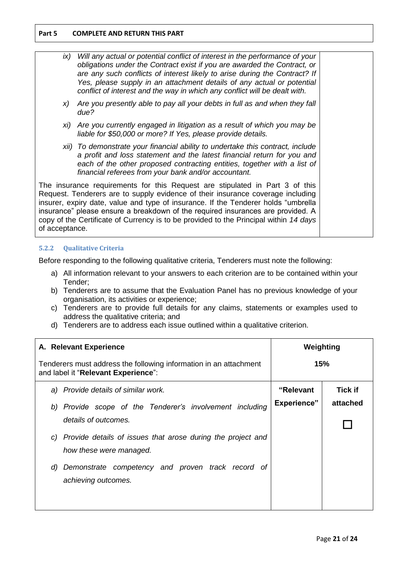| ix)                                                                                                                                                                                                                                                                                                                                                                                                                                                 | Will any actual or potential conflict of interest in the performance of your<br>obligations under the Contract exist if you are awarded the Contract, or<br>are any such conflicts of interest likely to arise during the Contract? If<br>Yes, please supply in an attachment details of any actual or potential<br>conflict of interest and the way in which any conflict will be dealt with. |  |
|-----------------------------------------------------------------------------------------------------------------------------------------------------------------------------------------------------------------------------------------------------------------------------------------------------------------------------------------------------------------------------------------------------------------------------------------------------|------------------------------------------------------------------------------------------------------------------------------------------------------------------------------------------------------------------------------------------------------------------------------------------------------------------------------------------------------------------------------------------------|--|
| X)                                                                                                                                                                                                                                                                                                                                                                                                                                                  | Are you presently able to pay all your debts in full as and when they fall<br>due?                                                                                                                                                                                                                                                                                                             |  |
|                                                                                                                                                                                                                                                                                                                                                                                                                                                     | xi) Are you currently engaged in litigation as a result of which you may be<br>liable for \$50,000 or more? If Yes, please provide details.                                                                                                                                                                                                                                                    |  |
|                                                                                                                                                                                                                                                                                                                                                                                                                                                     | xii) To demonstrate your financial ability to undertake this contract, include<br>a profit and loss statement and the latest financial return for you and<br>each of the other proposed contracting entities, together with a list of<br>financial referees from your bank and/or accountant.                                                                                                  |  |
| The insurance requirements for this Request are stipulated in Part 3 of this<br>Request. Tenderers are to supply evidence of their insurance coverage including<br>insurer, expiry date, value and type of insurance. If the Tenderer holds "umbrella<br>insurance" please ensure a breakdown of the required insurances are provided. A<br>copy of the Certificate of Currency is to be provided to the Principal within 14 days<br>of acceptance. |                                                                                                                                                                                                                                                                                                                                                                                                |  |

#### <span id="page-20-0"></span>**5.2.2 Qualitative Criteria**

Before responding to the following qualitative criteria, Tenderers must note the following:

- a) All information relevant to your answers to each criterion are to be contained within your Tender;
- b) Tenderers are to assume that the Evaluation Panel has no previous knowledge of your organisation, its activities or experience;
- c) Tenderers are to provide full details for any claims, statements or examples used to address the qualitative criteria; and
- d) Tenderers are to address each issue outlined within a qualitative criterion.

| A. Relevant Experience                                                                                   | Weighting          |                |
|----------------------------------------------------------------------------------------------------------|--------------------|----------------|
| Tenderers must address the following information in an attachment<br>and label it "Relevant Experience": | <b>15%</b>         |                |
| a) Provide details of similar work.                                                                      | "Relevant          | <b>Tick if</b> |
| b) Provide scope of the Tenderer's involvement including                                                 | <b>Experience"</b> | attached       |
| details of outcomes.                                                                                     |                    |                |
| Provide details of issues that arose during the project and<br>C)<br>how these were managed.             |                    |                |
| Demonstrate competency and proven track record of<br>d)<br>achieving outcomes.                           |                    |                |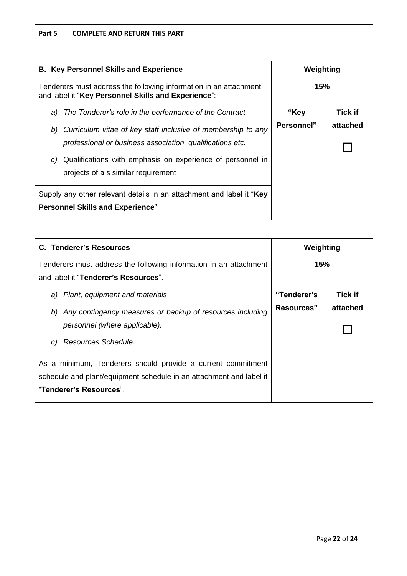| <b>B. Key Personnel Skills and Experience</b>                                                                            | Weighting  |                |
|--------------------------------------------------------------------------------------------------------------------------|------------|----------------|
| Tenderers must address the following information in an attachment<br>and label it "Key Personnel Skills and Experience": |            | 15%            |
| The Tenderer's role in the performance of the Contract.<br>a)                                                            | "Key       | <b>Tick if</b> |
| Curriculum vitae of key staff inclusive of membership to any<br>b)                                                       | Personnel" | attached       |
| professional or business association, qualifications etc.                                                                |            |                |
| Qualifications with emphasis on experience of personnel in<br>C)                                                         |            |                |
| projects of a s similar requirement                                                                                      |            |                |
| Supply any other relevant details in an attachment and label it "Key                                                     |            |                |
| <b>Personnel Skills and Experience".</b>                                                                                 |            |                |

| C. Tenderer's Resources                                                                                            | Weighting   |                |
|--------------------------------------------------------------------------------------------------------------------|-------------|----------------|
| Tenderers must address the following information in an attachment<br>and label it " <b>Tenderer's Resources</b> ". | 15%         |                |
| a) Plant, equipment and materials                                                                                  | "Tenderer's | <b>Tick if</b> |
| Any contingency measures or backup of resources including<br>b)                                                    | Resources"  | attached       |
| personnel (where applicable).                                                                                      |             |                |
| Resources Schedule.<br>C)                                                                                          |             |                |
| As a minimum, Tenderers should provide a current commitment                                                        |             |                |
| schedule and plant/equipment schedule in an attachment and label it                                                |             |                |
| "Tenderer's Resources".                                                                                            |             |                |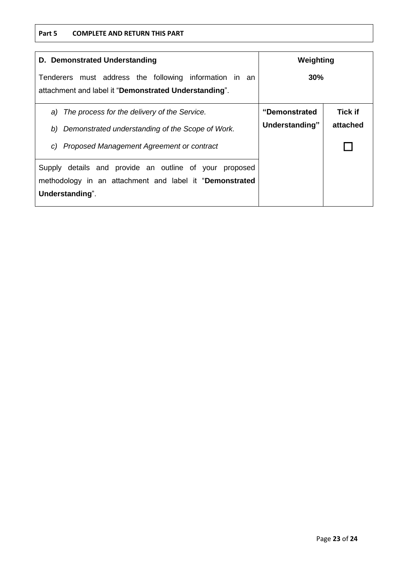#### **Part 5 COMPLETE AND RETURN THIS PART**

| D. Demonstrated Understanding                                                                                   | Weighting      |                |
|-----------------------------------------------------------------------------------------------------------------|----------------|----------------|
| Tenderers must address the following information in an<br>attachment and label it "Demonstrated Understanding". | 30%            |                |
| The process for the delivery of the Service.<br>a)                                                              | "Demonstrated  | <b>Tick if</b> |
| Demonstrated understanding of the Scope of Work.<br>b)                                                          | Understanding" | attached       |
| Proposed Management Agreement or contract<br>C)                                                                 |                |                |
| Supply details and provide an outline of your<br>proposed                                                       |                |                |
| methodology in an attachment and label it "Demonstrated                                                         |                |                |
| Understanding".                                                                                                 |                |                |